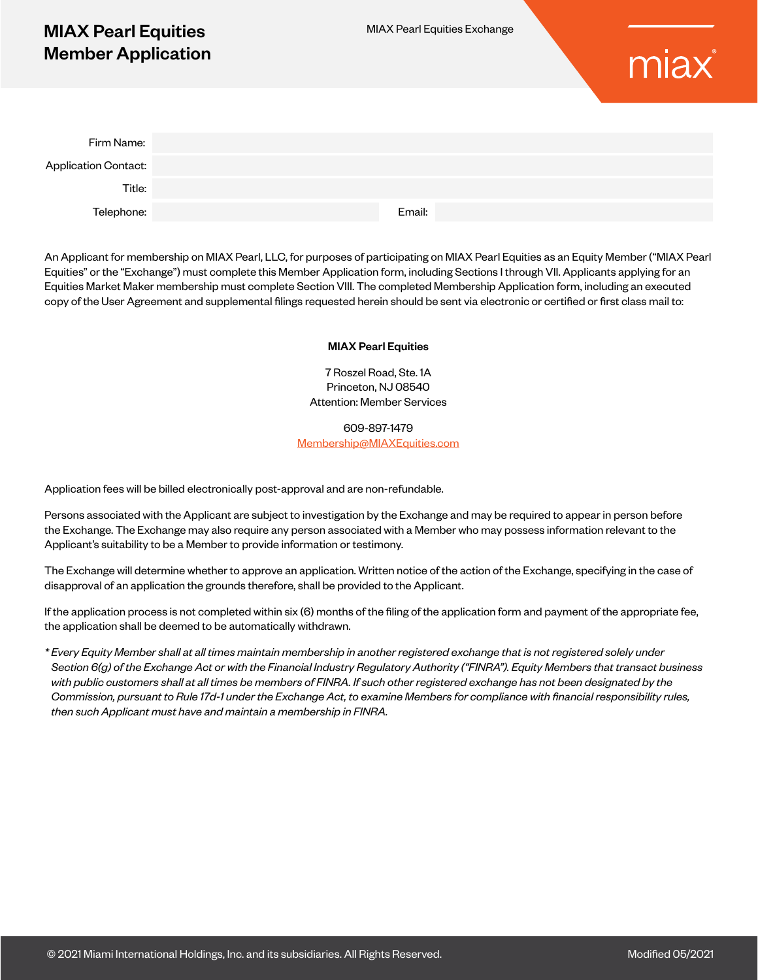# MIAX Pearl Equities Member Application



| Firm Name:           |        |
|----------------------|--------|
| Application Contact: |        |
| Title:               |        |
| Telephone:           | Email: |

An Applicant for membership on MIAX Pearl, LLC, for purposes of participating on MIAX Pearl Equities as an Equity Member ("MIAX Pearl Equities" or the "Exchange") must complete this Member Application form, including Sections I through VII. Applicants applying for an Equities Market Maker membership must complete Section VIII. The completed Membership Application form, including an executed copy of the User Agreement and supplemental filings requested herein should be sent via electronic or certified or first class mail to:

#### MIAX Pearl Equities

7 Roszel Road, Ste. 1A Princeton, NJ 08540 Attention: Member Services

609-897-1479 [Membership@MIAXEquities.com](mailto:Membership%40MIAXEquities.com?subject=)

Application fees will be billed electronically post-approval and are non-refundable.

Persons associated with the Applicant are subject to investigation by the Exchange and may be required to appear in person before the Exchange. The Exchange may also require any person associated with a Member who may possess information relevant to the Applicant's suitability to be a Member to provide information or testimony.

The Exchange will determine whether to approve an application. Written notice of the action of the Exchange, specifying in the case of disapproval of an application the grounds therefore, shall be provided to the Applicant.

If the application process is not completed within six (6) months of the filing of the application form and payment of the appropriate fee, the application shall be deemed to be automatically withdrawn.

*\* Every Equity Member shall at all times maintain membership in another registered exchange that is not registered solely under Section 6(g) of the Exchange Act or with the Financial Industry Regulatory Authority ("FINRA"). Equity Members that transact business with public customers shall at all times be members of FINRA. If such other registered exchange has not been designated by the Commission, pursuant to Rule 17d-1 under the Exchange Act, to examine Members for compliance with financial responsibility rules, then such Applicant must have and maintain a membership in FINRA.*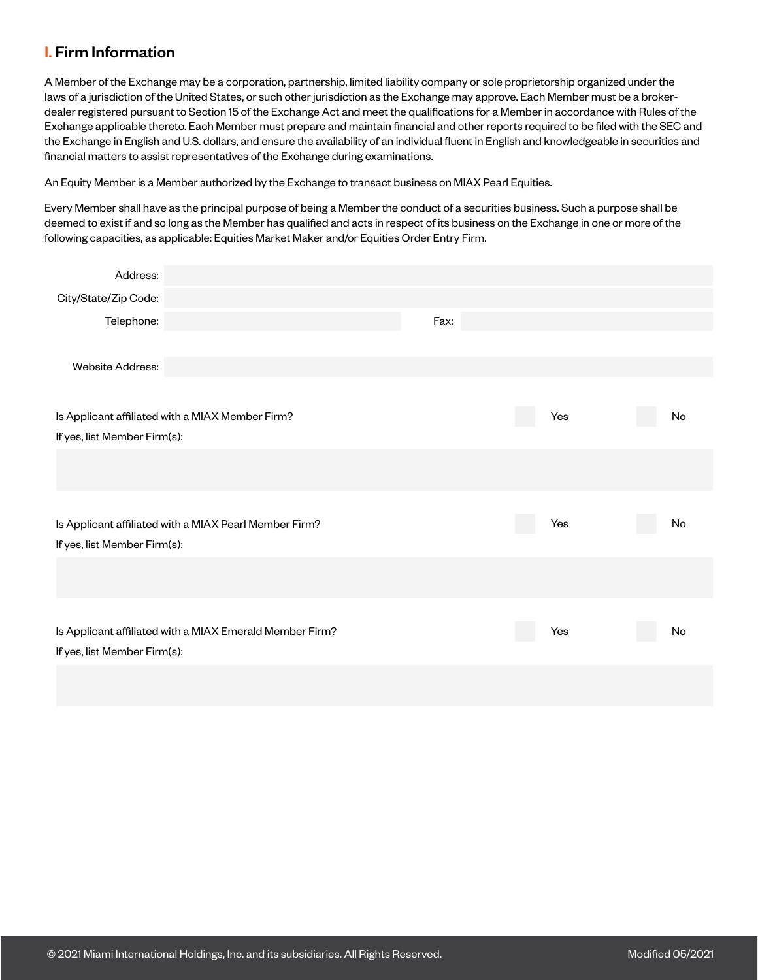# I. Firm Information

A Member of the Exchange may be a corporation, partnership, limited liability company or sole proprietorship organized under the laws of a jurisdiction of the United States, or such other jurisdiction as the Exchange may approve. Each Member must be a brokerdealer registered pursuant to Section 15 of the Exchange Act and meet the qualifications for a Member in accordance with Rules of the Exchange applicable thereto. Each Member must prepare and maintain financial and other reports required to be filed with the SEC and the Exchange in English and U.S. dollars, and ensure the availability of an individual fluent in English and knowledgeable in securities and financial matters to assist representatives of the Exchange during examinations.

An Equity Member is a Member authorized by the Exchange to transact business on MIAX Pearl Equities.

Every Member shall have as the principal purpose of being a Member the conduct of a securities business. Such a purpose shall be deemed to exist if and so long as the Member has qualified and acts in respect of its business on the Exchange in one or more of the following capacities, as applicable: Equities Market Maker and/or Equities Order Entry Firm.

| Address:                     |                                                          |      |     |    |
|------------------------------|----------------------------------------------------------|------|-----|----|
| City/State/Zip Code:         |                                                          |      |     |    |
| Telephone:                   |                                                          | Fax: |     |    |
|                              |                                                          |      |     |    |
| <b>Website Address:</b>      |                                                          |      |     |    |
|                              |                                                          |      |     |    |
|                              | Is Applicant affiliated with a MIAX Member Firm?         |      | Yes | No |
| If yes, list Member Firm(s): |                                                          |      |     |    |
|                              |                                                          |      |     |    |
|                              |                                                          |      |     |    |
|                              |                                                          |      |     |    |
|                              | Is Applicant affiliated with a MIAX Pearl Member Firm?   |      | Yes | No |
| If yes, list Member Firm(s): |                                                          |      |     |    |
|                              |                                                          |      |     |    |
|                              |                                                          |      |     |    |
|                              |                                                          |      |     |    |
|                              | Is Applicant affiliated with a MIAX Emerald Member Firm? |      | Yes | No |
| If yes, list Member Firm(s): |                                                          |      |     |    |
|                              |                                                          |      |     |    |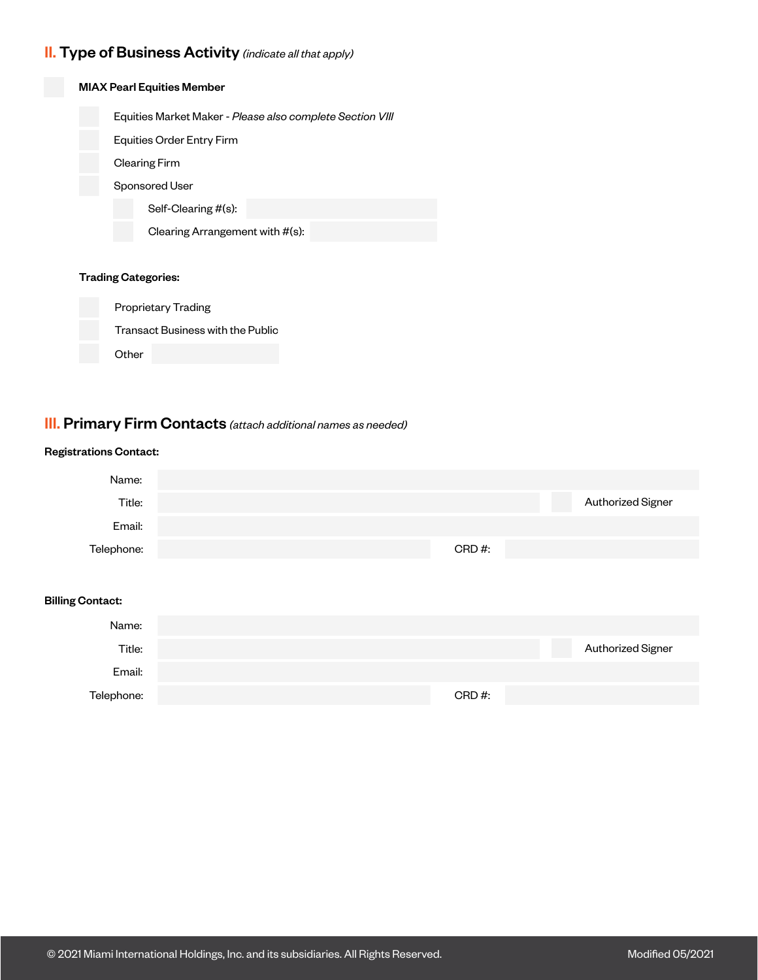## II. Type of Business Activity *(indicate all that apply)*



**Other** 

## III. Primary Firm Contacts *(attach additional names as needed)*

#### Registrations Contact:



#### Billing Contact:

| Name:      |       |                   |
|------------|-------|-------------------|
| Title:     |       | Authorized Signer |
| Email:     |       |                   |
| Telephone: | CRD#: |                   |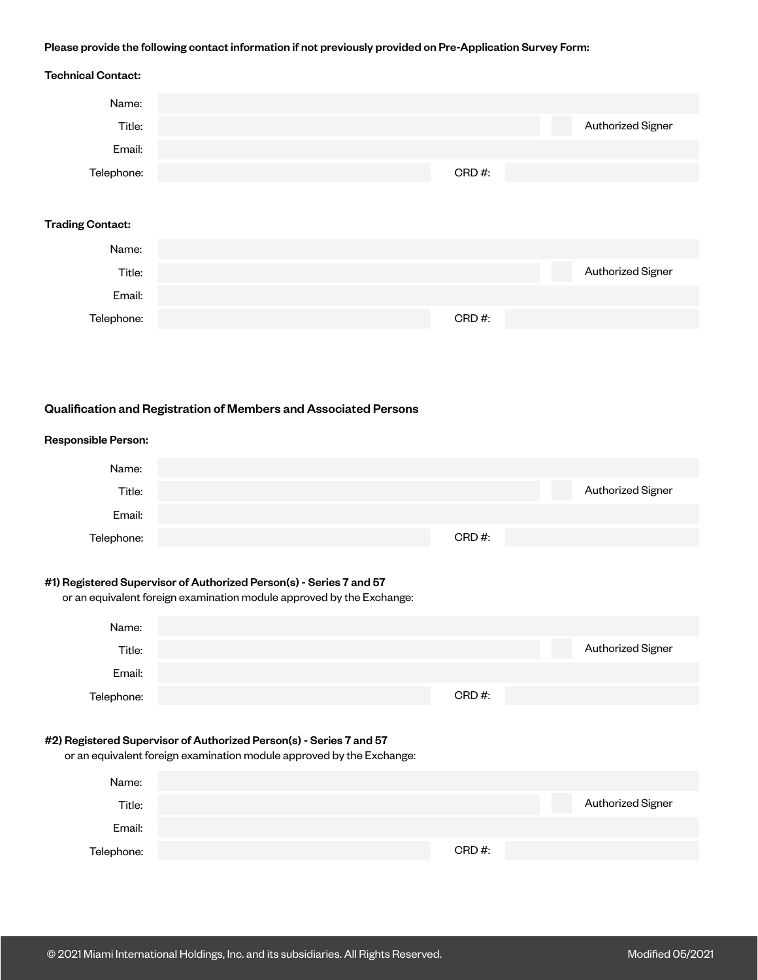#### Please provide the following contact information if not previously provided on Pre-Application Survey Form:

# Authorized Signer Authorized Signer Technical Contact: Trading Contact: Name: Title: Email: Telephone: Name: Title: Email: Telephone: CRD #: CRD #: Qualification and Registration of Members and Associated Persons Authorized Signer Authorized Signer Responsible Person: #2) Registered Supervisor of Authorized Person(s) - Series 7 and 57 or an equivalent foreign examination module approved by the Exchange: #1) Registered Supervisor of Authorized Person(s) - Series 7 and 57 or an equivalent foreign examination module approved by the Exchange: Name: Name: Name: Title: Title: Email: Email: Telephone: Telephone: CRD #: CRD #:

| Title:     |          | Authorized Signer |
|------------|----------|-------------------|
| Email:     |          |                   |
| Telephone: | $CRD#$ : |                   |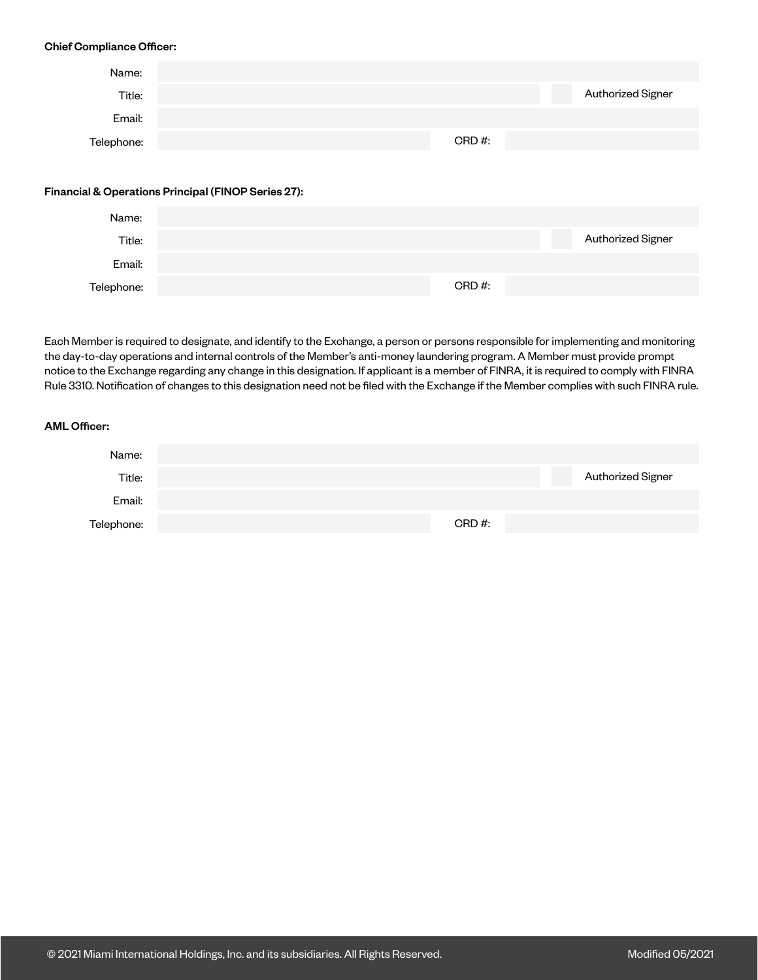#### Chief Compliance Officer:

| Name:      |                                                     |          |                   |
|------------|-----------------------------------------------------|----------|-------------------|
| Title:     |                                                     |          | Authorized Signer |
| Email:     |                                                     |          |                   |
| Telephone: |                                                     | $CRD#$ : |                   |
|            |                                                     |          |                   |
|            | Financial & Operations Principal (FINOP Series 27): |          |                   |
| Name:      |                                                     |          |                   |

| i vallite. |       |                   |
|------------|-------|-------------------|
| Title:     |       | Authorized Signer |
| Email:     |       |                   |
| Telephone: | CRD#: |                   |

Each Member is required to designate, and identify to the Exchange, a person or persons responsible for implementing and monitoring the day-to-day operations and internal controls of the Member's anti-money laundering program. A Member must provide prompt notice to the Exchange regarding any change in this designation. If applicant is a member of FINRA, it is required to comply with FINRA Rule 3310. Notification of changes to this designation need not be filed with the Exchange if the Member complies with such FINRA rule.

#### AML Officer:

| Name:      |       |                   |
|------------|-------|-------------------|
| Title:     |       | Authorized Signer |
| Email:     |       |                   |
| Telephone: | CRD#: |                   |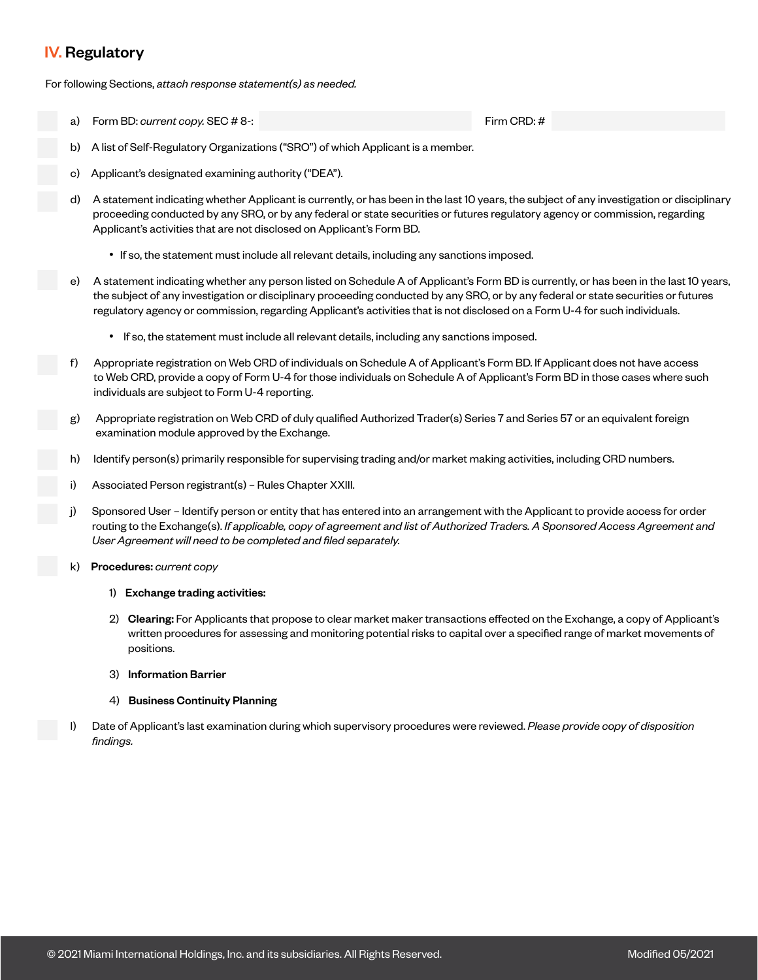## IV. Regulatory

For following Sections, *attach response statement(s) as needed.* 

a) Form BD: *current copy.* SEC # 8-: Firm CRD: #  $\frac{1}{2}$  Firm CRD: #

- b) A list of Self-Regulatory Organizations ("SRO") of which Applicant is a member.
- Applicant's designated examining authority ("DEA").
- d) A statement indicating whether Applicant is currently, or has been in the last 10 years, the subject of any investigation or disciplinary proceeding conducted by any SRO, or by any federal or state securities or futures regulatory agency or commission, regarding Applicant's activities that are not disclosed on Applicant's Form BD.
	- If so, the statement must include all relevant details, including any sanctions imposed.
- e) A statement indicating whether any person listed on Schedule A of Applicant's Form BD is currently, or has been in the last 10 years, the subject of any investigation or disciplinary proceeding conducted by any SRO, or by any federal or state securities or futures regulatory agency or commission, regarding Applicant's activities that is not disclosed on a Form U-4 for such individuals.
	- If so, the statement must include all relevant details, including any sanctions imposed.
- f) Appropriate registration on Web CRD of individuals on Schedule A of Applicant's Form BD. If Applicant does not have access to Web CRD, provide a copy of Form U-4 for those individuals on Schedule A of Applicant's Form BD in those cases where such individuals are subject to Form U-4 reporting.
- g) Appropriate registration on Web CRD of duly qualified Authorized Trader(s) Series 7 and Series 57 or an equivalent foreign examination module approved by the Exchange.
- h) Identify person(s) primarily responsible for supervising trading and/or market making activities, including CRD numbers.
- Associated Person registrant(s) Rules Chapter XXIII.
- Sponsored User Identify person or entity that has entered into an arrangement with the Applicant to provide access for order routing to the Exchange(s). *If applicable, copy of agreement and list of Authorized Traders. A Sponsored Access Agreement and User Agreement will need to be completed and filed separately.*
- k) Procedures: *current copy*
	- 1) Exchange trading activities:
	- 2) Clearing: For Applicants that propose to clear market maker transactions effected on the Exchange, a copy of Applicant's written procedures for assessing and monitoring potential risks to capital over a specified range of market movements of positions.
	- 3) Information Barrier
	- 4) Business Continuity Planning
- l) Date of Applicant's last examination during which supervisory procedures were reviewed. *Please provide copy of disposition findings.*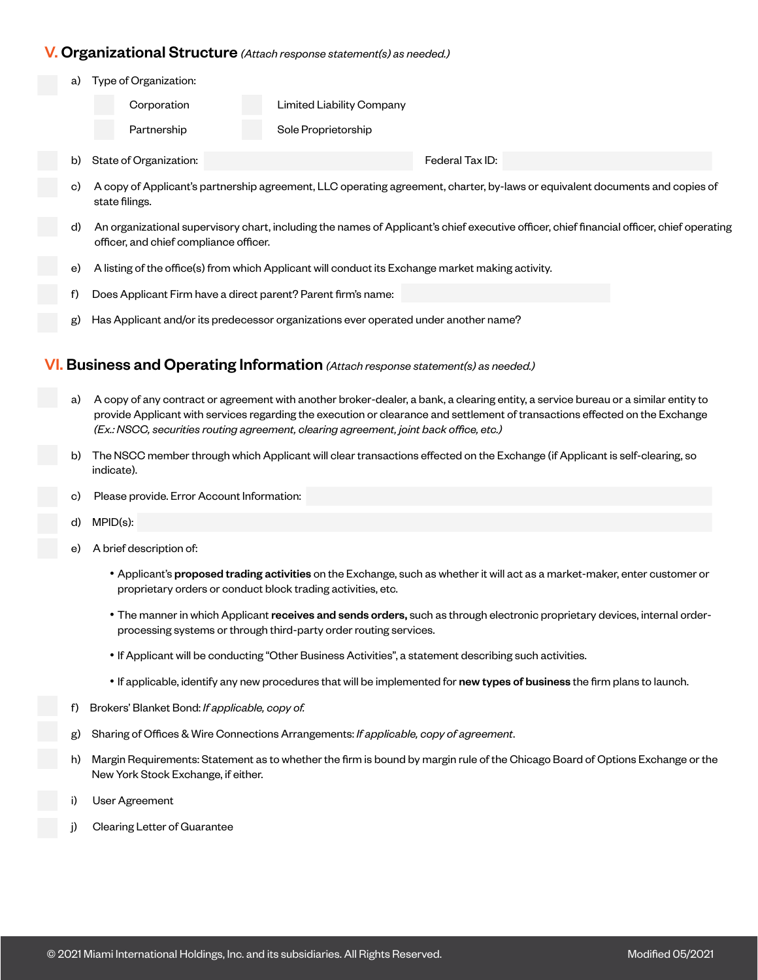### V. Organizational Structure *(Attach response statement(s) as needed.)*

- b) State of Organization: **Federal Tax ID:** Federal Tax ID: Type of Organization: Corporation Limited Liability Company Partnership Sole Proprietorship
	- c) A copy of Applicant's partnership agreement, LLC operating agreement, charter, by-laws or equivalent documents and copies of state filings.
	- d) An organizational supervisory chart, including the names of Applicant's chief executive officer, chief financial officer, chief operating officer, and chief compliance officer.
	- e) A listing of the office(s) from which Applicant will conduct its Exchange market making activity.
	- f) Does Applicant Firm have a direct parent? Parent firm's name:
	- g) Has Applicant and/or its predecessor organizations ever operated under another name?

## VI. Business and Operating Information *(Attach response statement(s) as needed.)*

- a) A copy of any contract or agreement with another broker-dealer, a bank, a clearing entity, a service bureau or a similar entity to provide Applicant with services regarding the execution or clearance and settlement of transactions effected on the Exchange *(Ex.: NSCC, securities routing agreement, clearing agreement, joint back office, etc.)*
- b) The NSCC member through which Applicant will clear transactions effected on the Exchange (if Applicant is self-clearing, so indicate).
- c) Please provide. Error Account Information:
- d) MPID(s):
- e) A brief description of:
	- Applicant's proposed trading activities on the Exchange, such as whether it will act as a market-maker, enter customer or proprietary orders or conduct block trading activities, etc.
	- The manner in which Applicant receives and sends orders, such as through electronic proprietary devices, internal orderprocessing systems or through third-party order routing services.
	- If Applicant will be conducting "Other Business Activities", a statement describing such activities.
	- If applicable, identify any new procedures that will be implemented for new types of business the firm plans to launch.
- f) Brokers' Blanket Bond: *If applicable, copy of.*
- g) Sharing of Offices & Wire Connections Arrangements: *If applicable, copy of agreement*.
- h) Margin Requirements: Statement as to whether the firm is bound by margin rule of the Chicago Board of Options Exchange or the New York Stock Exchange, if either.
- i) User Agreement
- j) Clearing Letter of Guarantee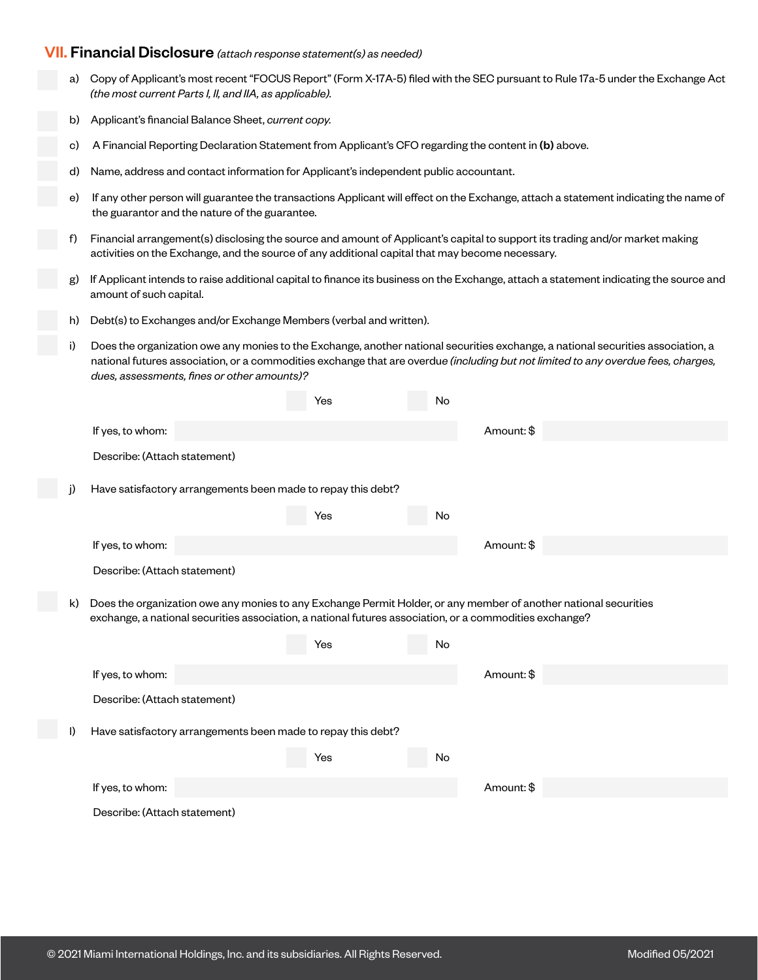## VII. Financial Disclosure *(attach response statement(s) as needed)*

- a) Copy of Applicant's most recent "FOCUS Report" (Form X-17A-5) filed with the SEC pursuant to Rule 17a-5 under the Exchange Act *(the most current Parts I, II, and IIA, as applicable).*
- b) Applicant's financial Balance Sheet, *current copy.*
- c) A Financial Reporting Declaration Statement from Applicant's CFO regarding the content in (b) above.
- d) Name, address and contact information for Applicant's independent public accountant.
- e) If any other person will guarantee the transactions Applicant will effect on the Exchange, attach a statement indicating the name of the guarantor and the nature of the guarantee.
- f) Financial arrangement(s) disclosing the source and amount of Applicant's capital to support its trading and/or market making activities on the Exchange, and the source of any additional capital that may become necessary.
- g) If Applicant intends to raise additional capital to finance its business on the Exchange, attach a statement indicating the source and amount of such capital.
- h) Debt(s) to Exchanges and/or Exchange Members (verbal and written).
- i) Does the organization owe any monies to the Exchange, another national securities exchange, a national securities association, a national futures association, or a commodities exchange that are overdu*e (including but not limited to any overdue fees, charges, dues, assessments, fines or other amounts)?*

|    |                                                                                                                                                                                                                             | Yes | No |            |  |
|----|-----------------------------------------------------------------------------------------------------------------------------------------------------------------------------------------------------------------------------|-----|----|------------|--|
|    | If yes, to whom:                                                                                                                                                                                                            |     |    | Amount: \$ |  |
|    | Describe: (Attach statement)                                                                                                                                                                                                |     |    |            |  |
|    | Have satisfactory arrangements been made to repay this debt?                                                                                                                                                                |     |    |            |  |
|    |                                                                                                                                                                                                                             | Yes | No |            |  |
|    | If yes, to whom:                                                                                                                                                                                                            |     |    | Amount: \$ |  |
|    | Describe: (Attach statement)                                                                                                                                                                                                |     |    |            |  |
| k) | Does the organization owe any monies to any Exchange Permit Holder, or any member of another national securities<br>exchange, a national securities association, a national futures association, or a commodities exchange? |     |    |            |  |
|    |                                                                                                                                                                                                                             | Yes | No |            |  |
|    | If yes, to whom:                                                                                                                                                                                                            |     |    | Amount: \$ |  |
|    | Describe: (Attach statement)                                                                                                                                                                                                |     |    |            |  |
| I) | Have satisfactory arrangements been made to repay this debt?                                                                                                                                                                |     |    |            |  |
|    |                                                                                                                                                                                                                             | Yes | No |            |  |
|    | If yes, to whom:                                                                                                                                                                                                            |     |    | Amount: \$ |  |
|    | Describe: (Attach statement)                                                                                                                                                                                                |     |    |            |  |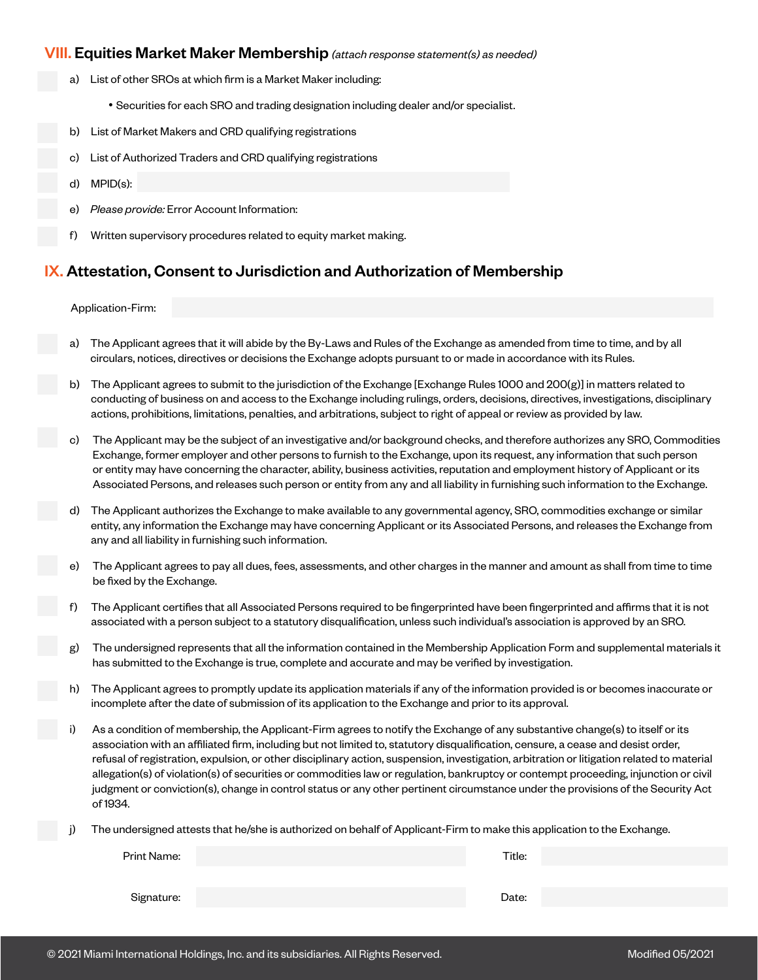### VIII. Equities Market Maker Membership *(attach response statement(s) as needed)*

- a) List of other SROs at which firm is a Market Maker including:
	- Securities for each SRO and trading designation including dealer and/or specialist.
- b) List of Market Makers and CRD qualifying registrations
- c) List of Authorized Traders and CRD qualifying registrations
- d) MPID(s):
- e) *Please provide:* Error Account Information:
- f) Written supervisory procedures related to equity market making.

## IX. Attestation, Consent to Jurisdiction and Authorization of Membership

#### Application-Firm:

- a) The Applicant agrees that it will abide by the By-Laws and Rules of the Exchange as amended from time to time, and by all circulars, notices, directives or decisions the Exchange adopts pursuant to or made in accordance with its Rules.
- b) The Applicant agrees to submit to the jurisdiction of the Exchange [Exchange Rules 1000 and 200(g)] in matters related to conducting of business on and access to the Exchange including rulings, orders, decisions, directives, investigations, disciplinary actions, prohibitions, limitations, penalties, and arbitrations, subject to right of appeal or review as provided by law.
- c) The Applicant may be the subject of an investigative and/or background checks, and therefore authorizes any SRO, Commodities Exchange, former employer and other persons to furnish to the Exchange, upon its request, any information that such person or entity may have concerning the character, ability, business activities, reputation and employment history of Applicant or its Associated Persons, and releases such person or entity from any and all liability in furnishing such information to the Exchange.
- d) The Applicant authorizes the Exchange to make available to any governmental agency, SRO, commodities exchange or similar entity, any information the Exchange may have concerning Applicant or its Associated Persons, and releases the Exchange from any and all liability in furnishing such information.
- The Applicant agrees to pay all dues, fees, assessments, and other charges in the manner and amount as shall from time to time be fixed by the Exchange.
- f) The Applicant certifies that all Associated Persons required to be fingerprinted have been fingerprinted and affirms that it is not associated with a person subject to a statutory disqualification, unless such individual's association is approved by an SRO.
- The undersigned represents that all the information contained in the Membership Application Form and supplemental materials it has submitted to the Exchange is true, complete and accurate and may be verified by investigation.
- The Applicant agrees to promptly update its application materials if any of the information provided is or becomes inaccurate or incomplete after the date of submission of its application to the Exchange and prior to its approval.
- i) As a condition of membership, the Applicant-Firm agrees to notify the Exchange of any substantive change(s) to itself or its association with an affiliated firm, including but not limited to, statutory disqualification, censure, a cease and desist order, refusal of registration, expulsion, or other disciplinary action, suspension, investigation, arbitration or litigation related to material allegation(s) of violation(s) of securities or commodities law or regulation, bankruptcy or contempt proceeding, injunction or civil judgment or conviction(s), change in control status or any other pertinent circumstance under the provisions of the Security Act of 1934.
- The undersigned attests that he/she is authorized on behalf of Applicant-Firm to make this application to the Exchange.

| Print Name: | Title: |  |
|-------------|--------|--|
|             |        |  |
| Signature:  | Date:  |  |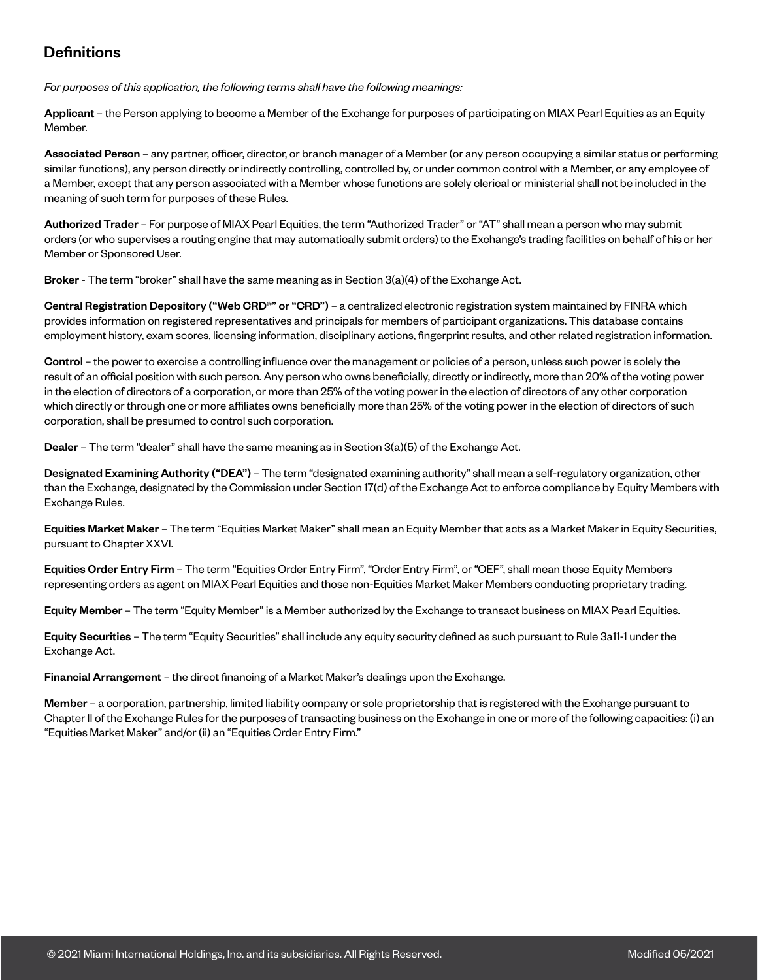# **Definitions**

*For purposes of this application, the following terms shall have the following meanings:*

Applicant – the Person applying to become a Member of the Exchange for purposes of participating on MIAX Pearl Equities as an Equity Member.

Associated Person – any partner, officer, director, or branch manager of a Member (or any person occupying a similar status or performing similar functions), any person directly or indirectly controlling, controlled by, or under common control with a Member, or any employee of a Member, except that any person associated with a Member whose functions are solely clerical or ministerial shall not be included in the meaning of such term for purposes of these Rules.

Authorized Trader – For purpose of MIAX Pearl Equities, the term "Authorized Trader" or "AT" shall mean a person who may submit orders (or who supervises a routing engine that may automatically submit orders) to the Exchange's trading facilities on behalf of his or her Member or Sponsored User.

Broker - The term "broker" shall have the same meaning as in Section 3(a)(4) of the Exchange Act.

Central Registration Depository ("Web CRD®" or "CRD") - a centralized electronic registration system maintained by FINRA which provides information on registered representatives and principals for members of participant organizations. This database contains employment history, exam scores, licensing information, disciplinary actions, fingerprint results, and other related registration information.

Control – the power to exercise a controlling influence over the management or policies of a person, unless such power is solely the result of an official position with such person. Any person who owns beneficially, directly or indirectly, more than 20% of the voting power in the election of directors of a corporation, or more than 25% of the voting power in the election of directors of any other corporation which directly or through one or more affiliates owns beneficially more than 25% of the voting power in the election of directors of such corporation, shall be presumed to control such corporation.

Dealer – The term "dealer" shall have the same meaning as in Section 3(a)(5) of the Exchange Act.

Designated Examining Authority ("DEA") – The term "designated examining authority" shall mean a self-regulatory organization, other than the Exchange, designated by the Commission under Section 17(d) of the Exchange Act to enforce compliance by Equity Members with Exchange Rules.

Equities Market Maker – The term "Equities Market Maker" shall mean an Equity Member that acts as a Market Maker in Equity Securities, pursuant to Chapter XXVI.

Equities Order Entry Firm – The term "Equities Order Entry Firm", "Order Entry Firm", or "OEF", shall mean those Equity Members representing orders as agent on MIAX Pearl Equities and those non-Equities Market Maker Members conducting proprietary trading.

Equity Member – The term "Equity Member" is a Member authorized by the Exchange to transact business on MIAX Pearl Equities.

Equity Securities – The term "Equity Securities" shall include any equity security defined as such pursuant to Rule 3a11-1 under the Exchange Act.

Financial Arrangement – the direct financing of a Market Maker's dealings upon the Exchange.

Member – a corporation, partnership, limited liability company or sole proprietorship that is registered with the Exchange pursuant to Chapter II of the Exchange Rules for the purposes of transacting business on the Exchange in one or more of the following capacities: (i) an "Equities Market Maker" and/or (ii) an "Equities Order Entry Firm."